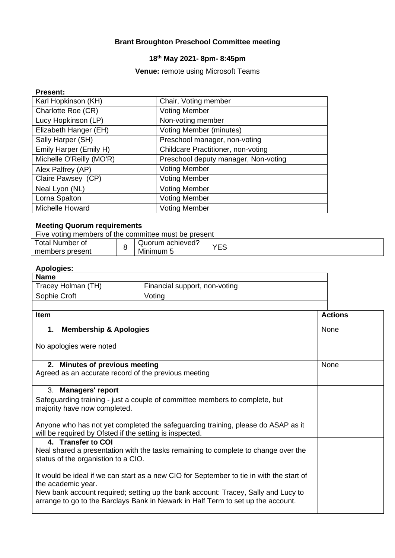#### **Brant Broughton Preschool Committee meeting**

## **18th May 2021- 8pm- 8:45pm**

#### **Venue:** remote using Microsoft Teams

#### **Present:**

| Karl Hopkinson (KH)      | Chair, Voting member                 |
|--------------------------|--------------------------------------|
| Charlotte Roe (CR)       | <b>Voting Member</b>                 |
| Lucy Hopkinson (LP)      | Non-voting member                    |
| Elizabeth Hanger (EH)    | <b>Voting Member (minutes)</b>       |
| Sally Harper (SH)        | Preschool manager, non-voting        |
| Emily Harper (Emily H)   | Childcare Practitioner, non-voting   |
| Michelle O'Reilly (MO'R) | Preschool deputy manager, Non-voting |
| Alex Palfrey (AP)        | <b>Voting Member</b>                 |
| Claire Pawsey (CP)       | <b>Voting Member</b>                 |
| Neal Lyon (NL)           | <b>Voting Member</b>                 |
| Lorna Spalton            | <b>Voting Member</b>                 |
| Michelle Howard          | <b>Voting Member</b>                 |

#### **Meeting Quorum requirements**

| Five voting members of the committee must be present |  |                  |            |  |
|------------------------------------------------------|--|------------------|------------|--|
| <b>Total Number of</b>                               |  | Quorum achieved? | <b>YES</b> |  |
| members present                                      |  | Minimum 5        |            |  |

### **Apologies:**

| <b>Name</b>        |                               |  |
|--------------------|-------------------------------|--|
| Tracey Holman (TH) | Financial support, non-voting |  |
| Sophie Croft       | Voting                        |  |
|                    |                               |  |

| Item                                                                                                                                                                  | <b>Actions</b> |
|-----------------------------------------------------------------------------------------------------------------------------------------------------------------------|----------------|
| <b>Membership &amp; Apologies</b><br>1.                                                                                                                               | <b>None</b>    |
| No apologies were noted                                                                                                                                               |                |
| 2. Minutes of previous meeting<br>Agreed as an accurate record of the previous meeting                                                                                | None           |
| 3. Managers' report                                                                                                                                                   |                |
| Safeguarding training - just a couple of committee members to complete, but<br>majority have now completed.                                                           |                |
| Anyone who has not yet completed the safeguarding training, please do ASAP as it<br>will be required by Ofsted if the setting is inspected.                           |                |
| 4. Transfer to COI                                                                                                                                                    |                |
| Neal shared a presentation with the tasks remaining to complete to change over the<br>status of the organistion to a CIO.                                             |                |
| It would be ideal if we can start as a new CIO for September to tie in with the start of<br>the academic year.                                                        |                |
| New bank account required; setting up the bank account: Tracey, Sally and Lucy to<br>arrange to go to the Barclays Bank in Newark in Half Term to set up the account. |                |